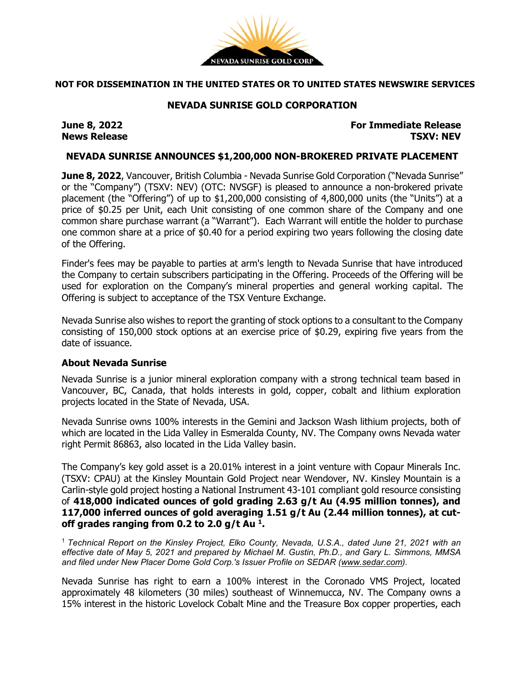

## **NOT FOR DISSEMINATION IN THE UNITED STATES OR TO UNITED STATES NEWSWIRE SERVICES**

## **NEVADA SUNRISE GOLD CORPORATION**

**News** Release

**June 8, 2022 For Immediate Release**

### **NEVADA SUNRISE ANNOUNCES \$1,200,000 NON-BROKERED PRIVATE PLACEMENT**

**June 8, 2022**, Vancouver, British Columbia - Nevada Sunrise Gold Corporation ("Nevada Sunrise" or the "Company") (TSXV: NEV) (OTC: NVSGF) is pleased to announce a non-brokered private placement (the "Offering") of up to \$1,200,000 consisting of 4,800,000 units (the "Units") at a price of \$0.25 per Unit, each Unit consisting of one common share of the Company and one common share purchase warrant (a "Warrant"). Each Warrant will entitle the holder to purchase one common share at a price of \$0.40 for a period expiring two years following the closing date of the Offering.

Finder's fees may be payable to parties at arm's length to Nevada Sunrise that have introduced the Company to certain subscribers participating in the Offering. Proceeds of the Offering will be used for exploration on the Company's mineral properties and general working capital. The Offering is subject to acceptance of the TSX Venture Exchange.

Nevada Sunrise also wishes to report the granting of stock options to a consultant to the Company consisting of 150,000 stock options at an exercise price of \$0.29, expiring five years from the date of issuance.

## **About Nevada Sunrise**

Nevada Sunrise is a junior mineral exploration company with a strong technical team based in Vancouver, BC, Canada, that holds interests in gold, copper, cobalt and lithium exploration projects located in the State of Nevada, USA.

Nevada Sunrise owns 100% interests in the Gemini and Jackson Wash lithium projects, both of which are located in the Lida Valley in Esmeralda County, NV. The Company owns Nevada water right Permit 86863, also located in the Lida Valley basin.

The Company's key gold asset is a 20.01% interest in a joint venture with Copaur Minerals Inc. (TSXV: CPAU) at the Kinsley Mountain Gold Project near Wendover, NV. Kinsley Mountain is a Carlin-style gold project hosting a National Instrument 43-101 compliant gold resource consisting of **418,000 indicated ounces of gold grading 2.63 g/t Au (4.95 million tonnes), and 117,000 inferred ounces of gold averaging 1.51 g/t Au (2.44 million tonnes), at cutoff grades ranging from 0.2 to 2.0 g/t Au 1.**

<sup>1</sup> *Technical Report on the Kinsley Project, Elko County, Nevada, U.S.A., dated June 21, 2021 with an effective date of May 5, 2021 and prepared by Michael M. Gustin, Ph.D., and Gary L. Simmons, MMSA and filed under New Placer Dome Gold Corp.'s Issuer Profile on SEDAR [\(www.sedar.com\)](https://c212.net/c/link/?t=0&l=en&o=3232825-1&h=4288497972&u=http%3A%2F%2Fwww.sedar.com%2F&a=www.sedar.com).*

Nevada Sunrise has right to earn a 100% interest in the Coronado VMS Project, located approximately 48 kilometers (30 miles) southeast of Winnemucca, NV. The Company owns a 15% interest in the historic Lovelock Cobalt Mine and the Treasure Box copper properties, each